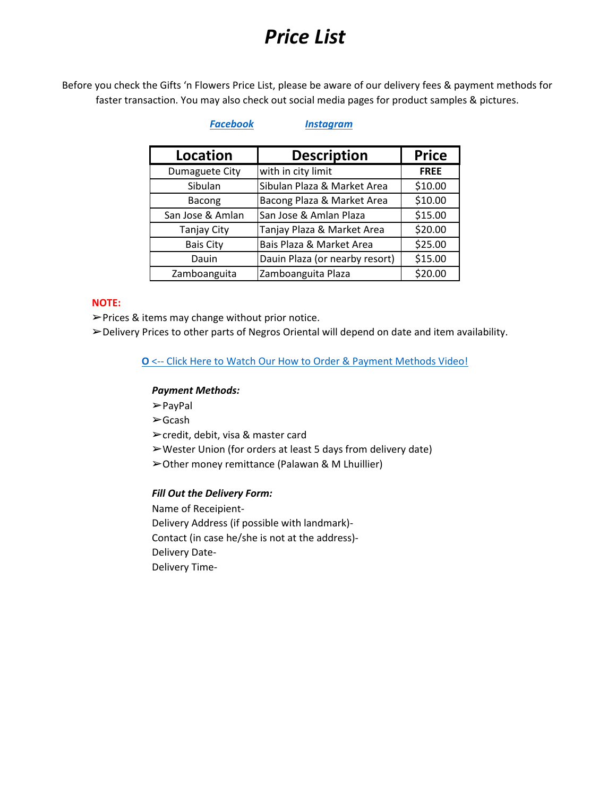## *Price List*

Before you check the Gifts 'n Flowers Price List, please be aware of our delivery fees & payment methods for faster transaction. You may also check out social media pages for product samples & pictures.

*[Facebook](https://www.facebook.com/dumaguete.gifts.flowers/) [Instagram](https://www.instagram.com/giftsnflowers_dumaguete/)*

| <b>Location</b>  | <b>Description</b>             | <b>Price</b> |
|------------------|--------------------------------|--------------|
| Dumaguete City   | with in city limit             | <b>FREE</b>  |
| Sibulan          | Sibulan Plaza & Market Area    | \$10.00      |
| <b>Bacong</b>    | Bacong Plaza & Market Area     | \$10.00      |
| San Jose & Amlan | San Jose & Amlan Plaza         | \$15.00      |
| Tanjay City      | Tanjay Plaza & Market Area     | \$20.00      |
| <b>Bais City</b> | Bais Plaza & Market Area       | \$25.00      |
| Dauin            | Dauin Plaza (or nearby resort) | \$15.00      |
| Zamboanguita     | Zamboanguita Plaza             | \$20.00      |

**NOTE:** ➢Prices & items may change without prior notice.

➢Delivery Prices to other parts of Negros Oriental will depend on date and item availability.

 **[O](https://www.facebook.com/watch/?v=448974725851899)**<-- Click Here to Watch Our How to Order & Payment Methods Video!

### *Payment Methods:*

- ➢PayPal
- ➢Gcash
- ➢credit, debit, visa & master card
- ➢Wester Union (for orders at least 5 days from delivery date)
- ➢Other money remittance (Palawan & M Lhuillier)

### *Fill Out the Delivery Form:*

Name of Receipient-Delivery Address (if possible with landmark)- Contact (in case he/she is not at the address)- Delivery Date-Delivery Time-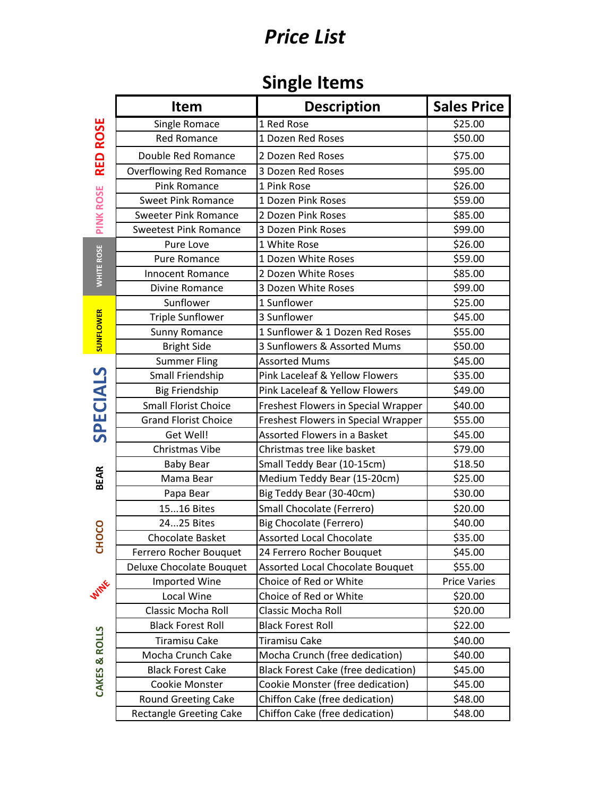# *Price List*

# **Single Items**

|                  | <b>Item</b>                     | <b>Description</b>                         | <b>Sales Price</b>  |
|------------------|---------------------------------|--------------------------------------------|---------------------|
| <b>RED ROSE</b>  | Single Romace                   | 1 Red Rose                                 | \$25.00             |
|                  | <b>Red Romance</b>              | 1 Dozen Red Roses                          | \$50.00             |
|                  | Double Red Romance              | 2 Dozen Red Roses                          | \$75.00             |
|                  | <b>Overflowing Red Romance</b>  | 3 Dozen Red Roses                          | \$95.00             |
|                  | <b>Pink Romance</b>             | 1 Pink Rose                                | \$26.00             |
| PINK ROSE        | <b>Sweet Pink Romance</b>       | 1 Dozen Pink Roses                         | \$59.00             |
|                  | <b>Sweeter Pink Romance</b>     | 2 Dozen Pink Roses                         | \$85.00             |
|                  | <b>Sweetest Pink Romance</b>    | 3 Dozen Pink Roses                         | \$99.00             |
|                  | Pure Love                       | 1 White Rose                               | \$26.00             |
| WHITE ROSE       | Pure Romance                    | 1 Dozen White Roses                        | \$59.00             |
|                  | <b>Innocent Romance</b>         | 2 Dozen White Roses                        | \$85.00             |
|                  | Divine Romance                  | 3 Dozen White Roses                        | \$99.00             |
|                  | Sunflower                       | 1 Sunflower                                | \$25.00             |
| <b>SUNFLOWER</b> | <b>Triple Sunflower</b>         | 3 Sunflower                                | \$45.00             |
|                  | Sunny Romance                   | 1 Sunflower & 1 Dozen Red Roses            | \$55.00             |
|                  | <b>Bright Side</b>              | 3 Sunflowers & Assorted Mums               | \$50.00             |
|                  | <b>Summer Fling</b>             | <b>Assorted Mums</b>                       | \$45.00             |
|                  | Small Friendship                | Pink Laceleaf & Yellow Flowers             | \$35.00             |
|                  | <b>Big Friendship</b>           | Pink Laceleaf & Yellow Flowers             | \$49.00             |
|                  | <b>Small Florist Choice</b>     | Freshest Flowers in Special Wrapper        | \$40.00             |
| <b>SPECIALS</b>  | <b>Grand Florist Choice</b>     | Freshest Flowers in Special Wrapper        | \$55.00             |
|                  | Get Well!                       | Assorted Flowers in a Basket               | \$45.00             |
|                  | Christmas Vibe                  | Christmas tree like basket                 | \$79.00             |
|                  | <b>Baby Bear</b>                | Small Teddy Bear (10-15cm)                 | \$18.50             |
| <b>BEAR</b>      | Mama Bear                       | Medium Teddy Bear (15-20cm)                | \$25.00             |
|                  | Papa Bear                       | Big Teddy Bear (30-40cm)                   | \$30.00             |
|                  | 1516 Bites                      | Small Chocolate (Ferrero)                  | \$20.00             |
|                  | 2425 Bites                      | <b>Big Chocolate (Ferrero)</b>             | \$40.00             |
| <b>OCO</b>       | Chocolate Basket                | <b>Assorted Local Chocolate</b>            | \$35.00             |
| 공                | Ferrero Rocher Bouquet          | 24 Ferrero Rocher Bouquet                  | \$45.00             |
|                  | <b>Deluxe Chocolate Bouquet</b> | Assorted Local Chocolate Bouquet           | \$55.00             |
| WINE             | <b>Imported Wine</b>            | Choice of Red or White                     | <b>Price Varies</b> |
|                  | Local Wine                      | Choice of Red or White                     | \$20.00             |
|                  | Classic Mocha Roll              | Classic Mocha Roll                         | \$20.00             |
|                  | <b>Black Forest Roll</b>        | <b>Black Forest Roll</b>                   | \$22.00             |
| CAKES & ROLLS    | <b>Tiramisu Cake</b>            | Tiramisu Cake                              | \$40.00             |
|                  | Mocha Crunch Cake               | Mocha Crunch (free dedication)             | \$40.00             |
|                  | <b>Black Forest Cake</b>        | <b>Black Forest Cake (free dedication)</b> | \$45.00             |
|                  | Cookie Monster                  | Cookie Monster (free dedication)           | \$45.00             |
|                  | Round Greeting Cake             | Chiffon Cake (free dedication)             | \$48.00             |
|                  | <b>Rectangle Greeting Cake</b>  | Chiffon Cake (free dedication)             | \$48.00             |